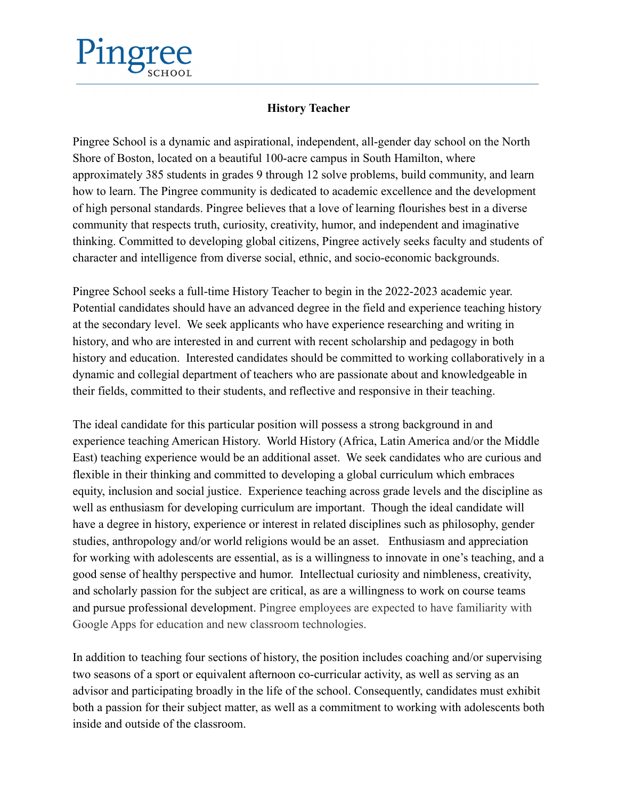## **History Teacher**

Pingree School is a dynamic and aspirational, independent, all-gender day school on the North Shore of Boston, located on a beautiful 100-acre campus in South Hamilton, where approximately 385 students in grades 9 through 12 solve problems, build community, and learn how to learn. The Pingree community is dedicated to academic excellence and the development of high personal standards. Pingree believes that a love of learning flourishes best in a diverse community that respects truth, curiosity, creativity, humor, and independent and imaginative thinking. Committed to developing global citizens, Pingree actively seeks faculty and students of character and intelligence from diverse social, ethnic, and socio-economic backgrounds.

Pingree School seeks a full-time History Teacher to begin in the 2022-2023 academic year. Potential candidates should have an advanced degree in the field and experience teaching history at the secondary level. We seek applicants who have experience researching and writing in history, and who are interested in and current with recent scholarship and pedagogy in both history and education. Interested candidates should be committed to working collaboratively in a dynamic and collegial department of teachers who are passionate about and knowledgeable in their fields, committed to their students, and reflective and responsive in their teaching.

The ideal candidate for this particular position will possess a strong background in and experience teaching American History. World History (Africa, Latin America and/or the Middle East) teaching experience would be an additional asset. We seek candidates who are curious and flexible in their thinking and committed to developing a global curriculum which embraces equity, inclusion and social justice. Experience teaching across grade levels and the discipline as well as enthusiasm for developing curriculum are important. Though the ideal candidate will have a degree in history, experience or interest in related disciplines such as philosophy, gender studies, anthropology and/or world religions would be an asset. Enthusiasm and appreciation for working with adolescents are essential, as is a willingness to innovate in one's teaching, and a good sense of healthy perspective and humor. Intellectual curiosity and nimbleness, creativity, and scholarly passion for the subject are critical, as are a willingness to work on course teams and pursue professional development. Pingree employees are expected to have familiarity with Google Apps for education and new classroom technologies.

In addition to teaching four sections of history, the position includes coaching and/or supervising two seasons of a sport or equivalent afternoon co-curricular activity, as well as serving as an advisor and participating broadly in the life of the school. Consequently, candidates must exhibit both a passion for their subject matter, as well as a commitment to working with adolescents both inside and outside of the classroom.